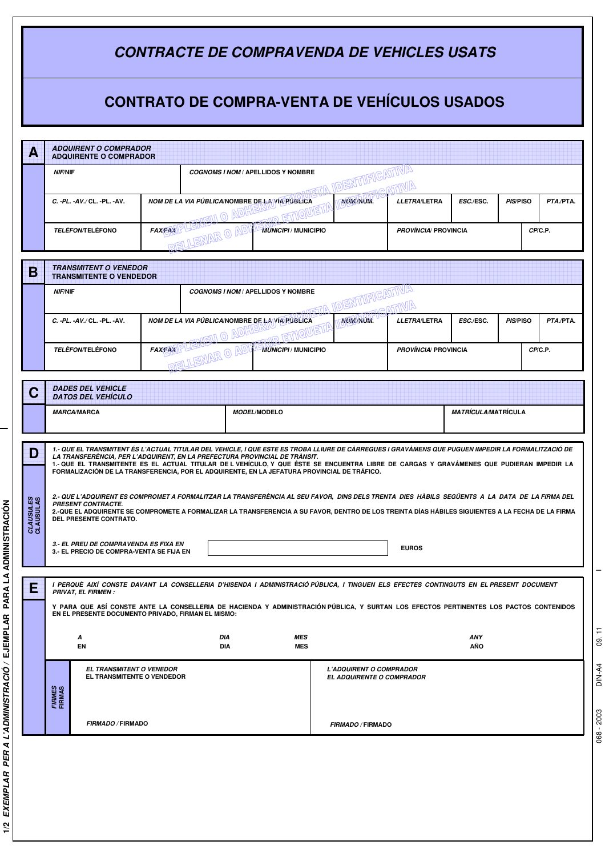| <b>CONTRACTE DE COMPRAVENDA DE VEHICLES USATS</b>   |                                                                                                                                                                                                                                                                                                                                                                                                                                                                           |               |                                                |  |                             |                                        |                            |                                        |           |  |  |  |  |
|-----------------------------------------------------|---------------------------------------------------------------------------------------------------------------------------------------------------------------------------------------------------------------------------------------------------------------------------------------------------------------------------------------------------------------------------------------------------------------------------------------------------------------------------|---------------|------------------------------------------------|--|-----------------------------|----------------------------------------|----------------------------|----------------------------------------|-----------|--|--|--|--|
| <b>CONTRATO DE COMPRA-VENTA DE VEHÍCULOS USADOS</b> |                                                                                                                                                                                                                                                                                                                                                                                                                                                                           |               |                                                |  |                             |                                        |                            |                                        |           |  |  |  |  |
| Α                                                   | <b>ADQUIRENT O COMPRADOR</b><br><b>ADQUIRENTE O COMPRADOR</b>                                                                                                                                                                                                                                                                                                                                                                                                             |               |                                                |  |                             |                                        |                            |                                        |           |  |  |  |  |
|                                                     | NIF/NIF                                                                                                                                                                                                                                                                                                                                                                                                                                                                   |               | <b>COGNOMS I NOM / APELLIDOS Y NOMBRE</b>      |  |                             |                                        |                            |                                        |           |  |  |  |  |
|                                                     | C. -PL. -AV./CL. -PL. -AV.                                                                                                                                                                                                                                                                                                                                                                                                                                                |               | NOM DE LA VIA PÚBLICA/NOMBRE DE LA VIA PÚBLICA |  | <b>NUM/NUM.</b>             | LLETRA/LETRA                           | ESC./ESC.                  | PIS/PISO                               | PTA./PTA. |  |  |  |  |
|                                                     | <b>TELÈFON/TELÉFONO</b>                                                                                                                                                                                                                                                                                                                                                                                                                                                   |               | <b>MUNICIPI / MUNICIPIO</b>                    |  |                             | <b>PROVÍNCIA/ PROVINCIA</b><br>CP/C.P. |                            |                                        |           |  |  |  |  |
| B                                                   | <b>TRANSMITENT O VENEDOR</b><br><b>TRANSMITENTE O VENDEDOR</b>                                                                                                                                                                                                                                                                                                                                                                                                            |               |                                                |  |                             |                                        |                            |                                        |           |  |  |  |  |
|                                                     | NIF/NIF<br><b>COGNOMS I NOM / APELLIDOS Y NOMBRE</b>                                                                                                                                                                                                                                                                                                                                                                                                                      |               |                                                |  |                             |                                        |                            |                                        |           |  |  |  |  |
|                                                     | C. -PL. -AV./ CL. -PL. -AV.                                                                                                                                                                                                                                                                                                                                                                                                                                               |               | NOM DE LA VIA PÚBLICA/NOMBRE DE LA VIA PÚBLICA |  | NUM/NUM.                    | LLETRA/LETRA                           | ESC./ESC.                  | PIS/PISO                               | PTA./PTA. |  |  |  |  |
|                                                     | <i><b>TELÈFON/TELÉFONO</b></i>                                                                                                                                                                                                                                                                                                                                                                                                                                            | <b>FAXEAX</b> |                                                |  | <b>MUNICIPI / MUNICIPIO</b> |                                        |                            | CP/C.P.<br><b>PROVÍNCIA/ PROVINCIA</b> |           |  |  |  |  |
| С                                                   | <b>DADES DEL VEHICLE</b><br><b>DATOS DEL VEHÍCULO</b>                                                                                                                                                                                                                                                                                                                                                                                                                     |               |                                                |  |                             |                                        |                            |                                        |           |  |  |  |  |
| <b>MARCA/MARCA</b><br><b>MODEL/MODELO</b>           |                                                                                                                                                                                                                                                                                                                                                                                                                                                                           |               |                                                |  |                             |                                        | <i>MATRÍCULA/MATRÍCULA</i> |                                        |           |  |  |  |  |
| D                                                   | 1.- QUE EL TRANSMITENT ÉS L'ACTUAL TITULAR DEL VEHICLE, I QUE ESTE ES TROBA LLIURE DE CÀRREGUES I GRAVÀMENS QUE PUGUEN IMPEDIR LA FORMALITZACIÓ DE<br>LA TRANSFERENCIA, PER L'ADQUIRENT, EN LA PREFECTURA PROVINCIAL DE TRÀNSIT.<br>1.-QUE EL TRANSMITENTE ES EL ACTUAL TITULAR DE LVEHÍCULO, Y QUE ÉSTE SE ENCUENTRA LIBRE DE CARGAS Y GRAVÁMENES QUE PUDIERAN IMPEDIR LA<br>FORMALIZACIÓN DE LA TRANSFERENCIA, POR EL ADQUIRENTE, EN LA JEFATURA PROVINCIAL DE TRÁFICO. |               |                                                |  |                             |                                        |                            |                                        |           |  |  |  |  |
| CLÀUSULES<br>CLAUSULAS                              | 2.- QUE L'ADQUIRENT ES COMPROMET A FORMALITZAR LA TRANSFERÈNCIA AL SEU FAVOR, DINS DELS TRENTA DIES HÀBILS SEGÜENTS A LA DATA DE LA FIRMA DEL<br><b>PRESENT CONTRACTE.</b><br>2.-QUE EL ADQUIRENTE SE COMPROMETE A FORMALIZAR LA TRANSFERENCIA A SU FAVOR, DENTRO DE LOS TREINTA DÍAS HÁBILES SIGUIENTES A LA FECHA DE LA FIRMA<br>DEL PRESENTE CONTRATO.<br>3.- EL PREU DE COMPRAVENDA ES FIXA EN<br><b>EUROS</b><br>3.- EL PRECIO DE COMPRA-VENTA SE FIJA EN            |               |                                                |  |                             |                                        |                            |                                        |           |  |  |  |  |
|                                                     |                                                                                                                                                                                                                                                                                                                                                                                                                                                                           |               |                                                |  |                             |                                        |                            |                                        |           |  |  |  |  |
| Е                                                   | I PERQUÈ AIXÍ CONSTE DAVANT LA CONSELLERIA D'HISENDA I ADMINISTRACIÓ PÚBLICA, I TINGUEN ELS EFECTES CONTINGUTS EN EL PRESENT DOCUMENT<br><b>PRIVAT, EL FIRMEN :</b><br>Y PARA QUE ASÍ CONSTE ANTE LA CONSELLERIA DE HACIENDA Y ADMINISTRACIÓN PÚBLICA, Y SURTAN LOS EFECTOS PERTINENTES LOS PACTOS CONTENIDOS                                                                                                                                                             |               |                                                |  |                             |                                        |                            |                                        |           |  |  |  |  |
|                                                     | EN EL PRESENTE DOCUMENTO PRIVADO, FIRMAN EL MISMO:<br>DIA<br>MES<br>ANY<br>Α                                                                                                                                                                                                                                                                                                                                                                                              |               |                                                |  |                             |                                        |                            |                                        |           |  |  |  |  |
|                                                     | EN<br>DIA<br><b>MES</b><br>AÑO<br>EL TRANSMITENT O VENEDOR<br><b>L'ADQUIRENT O COMPRADOR</b><br>EL TRANSMITENTE O VENDEDOR<br><b>EL ADQUIRENTE O COMPRADOR</b><br>FIRMES<br>FIRMAS                                                                                                                                                                                                                                                                                        |               |                                                |  |                             |                                        |                            |                                        |           |  |  |  |  |
|                                                     | <b>FIRMADO / FIRMADO</b>                                                                                                                                                                                                                                                                                                                                                                                                                                                  |               |                                                |  | <b>FIRMADO / FIRMADO</b>    |                                        |                            |                                        |           |  |  |  |  |

e<br>B

068 - 2003 I DIN-A4 09.11 DIN-A4 09. 11 068 - 2003

 $\frac{1}{\sqrt{2}}$